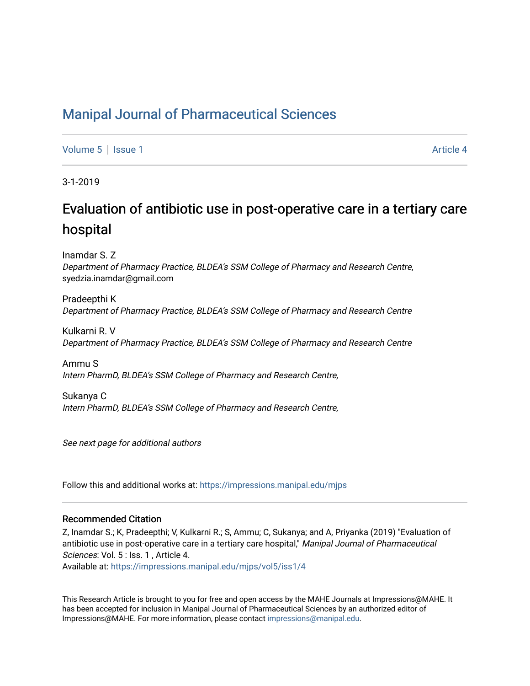### [Manipal Journal of Pharmaceutical Sciences](https://impressions.manipal.edu/mjps)

[Volume 5](https://impressions.manipal.edu/mjps/vol5) | [Issue 1](https://impressions.manipal.edu/mjps/vol5/iss1) Article 4

3-1-2019

# Evaluation of antibiotic use in post-operative care in a tertiary care hospital

Inamdar S. Z Department of Pharmacy Practice, BLDEA's SSM College of Pharmacy and Research Centre, syedzia.inamdar@gmail.com

Pradeepthi K Department of Pharmacy Practice, BLDEA's SSM College of Pharmacy and Research Centre

Kulkarni R. V Department of Pharmacy Practice, BLDEA's SSM College of Pharmacy and Research Centre

Ammu S Intern PharmD, BLDEA's SSM College of Pharmacy and Research Centre,

Sukanya C Intern PharmD, BLDEA's SSM College of Pharmacy and Research Centre,

See next page for additional authors

Follow this and additional works at: [https://impressions.manipal.edu/mjps](https://impressions.manipal.edu/mjps?utm_source=impressions.manipal.edu%2Fmjps%2Fvol5%2Fiss1%2F4&utm_medium=PDF&utm_campaign=PDFCoverPages)

#### Recommended Citation

Z, Inamdar S.; K, Pradeepthi; V, Kulkarni R.; S, Ammu; C, Sukanya; and A, Priyanka (2019) "Evaluation of antibiotic use in post-operative care in a tertiary care hospital," Manipal Journal of Pharmaceutical Sciences: Vol. 5 : Iss. 1, Article 4.

Available at: [https://impressions.manipal.edu/mjps/vol5/iss1/4](https://impressions.manipal.edu/mjps/vol5/iss1/4?utm_source=impressions.manipal.edu%2Fmjps%2Fvol5%2Fiss1%2F4&utm_medium=PDF&utm_campaign=PDFCoverPages)

This Research Article is brought to you for free and open access by the MAHE Journals at Impressions@MAHE. It has been accepted for inclusion in Manipal Journal of Pharmaceutical Sciences by an authorized editor of Impressions@MAHE. For more information, please contact [impressions@manipal.edu](mailto:impressions@manipal.edu).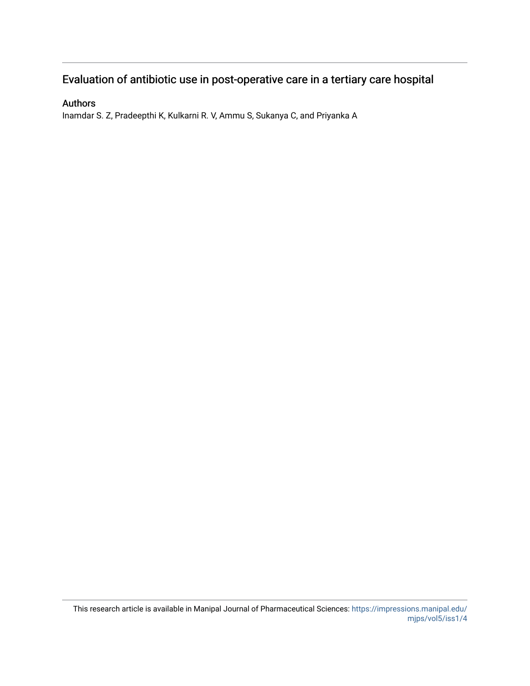### Evaluation of antibiotic use in post-operative care in a tertiary care hospital

#### Authors

Inamdar S. Z, Pradeepthi K, Kulkarni R. V, Ammu S, Sukanya C, and Priyanka A

This research article is available in Manipal Journal of Pharmaceutical Sciences: [https://impressions.manipal.edu/](https://impressions.manipal.edu/mjps/vol5/iss1/4) [mjps/vol5/iss1/4](https://impressions.manipal.edu/mjps/vol5/iss1/4)